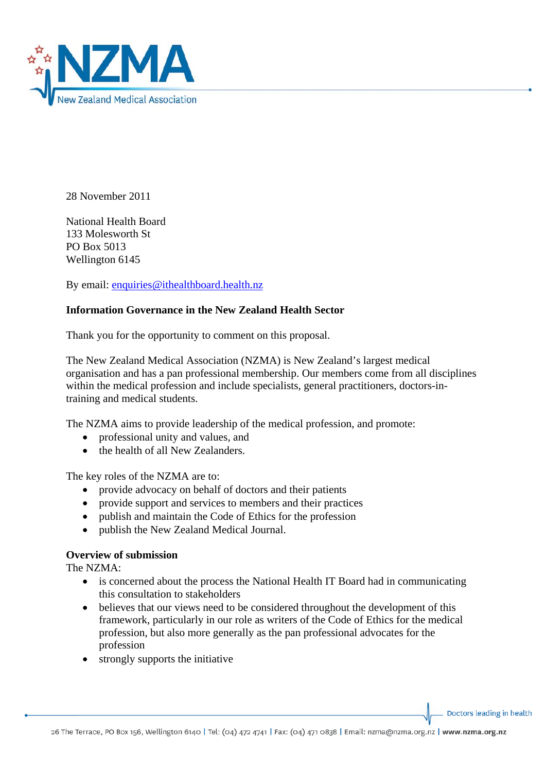

28 November 2011

National Health Board 133 Molesworth St PO Box 5013 Wellington 6145

By email: [enquiries@ithealthboard.health.nz](mailto:enquiries@ithealthboard.health.nz)

## **Information Governance in the New Zealand Health Sector**

Thank you for the opportunity to comment on this proposal.

The New Zealand Medical Association (NZMA) is New Zealand's largest medical organisation and has a pan professional membership. Our members come from all disciplines within the medical profession and include specialists, general practitioners, doctors-intraining and medical students.

The NZMA aims to provide leadership of the medical profession, and promote:

- professional unity and values, and
- the health of all New Zealanders.

The key roles of the NZMA are to:

- provide advocacy on behalf of doctors and their patients
- provide support and services to members and their practices
- publish and maintain the Code of Ethics for the profession
- publish the New Zealand Medical Journal.

## **Overview of submission**

The NZMA:

- is concerned about the process the National Health IT Board had in communicating this consultation to stakeholders
- believes that our views need to be considered throughout the development of this framework, particularly in our role as writers of the Code of Ethics for the medical profession, but also more generally as the pan professional advocates for the profession
- strongly supports the initiative

Doctors leading in health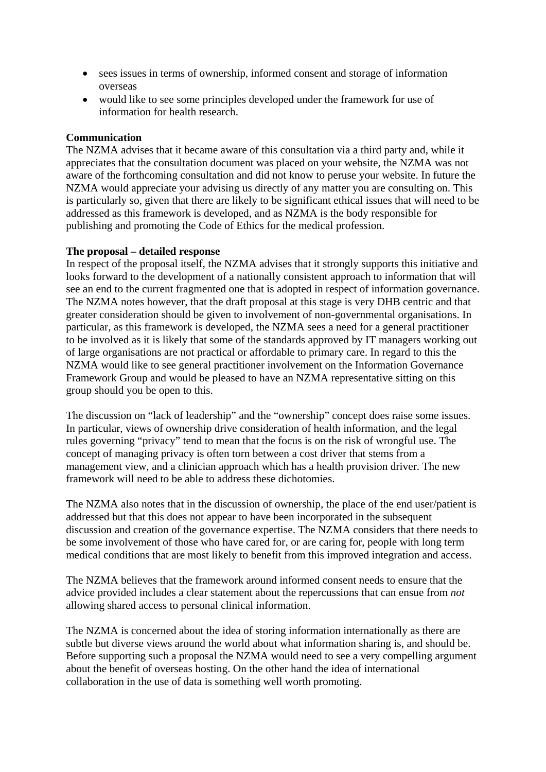- sees issues in terms of ownership, informed consent and storage of information overseas
- would like to see some principles developed under the framework for use of information for health research.

## **Communication**

The NZMA advises that it became aware of this consultation via a third party and, while it appreciates that the consultation document was placed on your website, the NZMA was not aware of the forthcoming consultation and did not know to peruse your website. In future the NZMA would appreciate your advising us directly of any matter you are consulting on. This is particularly so, given that there are likely to be significant ethical issues that will need to be addressed as this framework is developed, and as NZMA is the body responsible for publishing and promoting the Code of Ethics for the medical profession.

## **The proposal – detailed response**

In respect of the proposal itself, the NZMA advises that it strongly supports this initiative and looks forward to the development of a nationally consistent approach to information that will see an end to the current fragmented one that is adopted in respect of information governance. The NZMA notes however, that the draft proposal at this stage is very DHB centric and that greater consideration should be given to involvement of non-governmental organisations. In particular, as this framework is developed, the NZMA sees a need for a general practitioner to be involved as it is likely that some of the standards approved by IT managers working out of large organisations are not practical or affordable to primary care. In regard to this the NZMA would like to see general practitioner involvement on the Information Governance Framework Group and would be pleased to have an NZMA representative sitting on this group should you be open to this.

The discussion on "lack of leadership" and the "ownership" concept does raise some issues. In particular, views of ownership drive consideration of health information, and the legal rules governing "privacy" tend to mean that the focus is on the risk of wrongful use. The concept of managing privacy is often torn between a cost driver that stems from a management view, and a clinician approach which has a health provision driver. The new framework will need to be able to address these dichotomies.

The NZMA also notes that in the discussion of ownership, the place of the end user/patient is addressed but that this does not appear to have been incorporated in the subsequent discussion and creation of the governance expertise. The NZMA considers that there needs to be some involvement of those who have cared for, or are caring for, people with long term medical conditions that are most likely to benefit from this improved integration and access.

The NZMA believes that the framework around informed consent needs to ensure that the advice provided includes a clear statement about the repercussions that can ensue from *not* allowing shared access to personal clinical information.

The NZMA is concerned about the idea of storing information internationally as there are subtle but diverse views around the world about what information sharing is, and should be. Before supporting such a proposal the NZMA would need to see a very compelling argument about the benefit of overseas hosting. On the other hand the idea of international collaboration in the use of data is something well worth promoting.